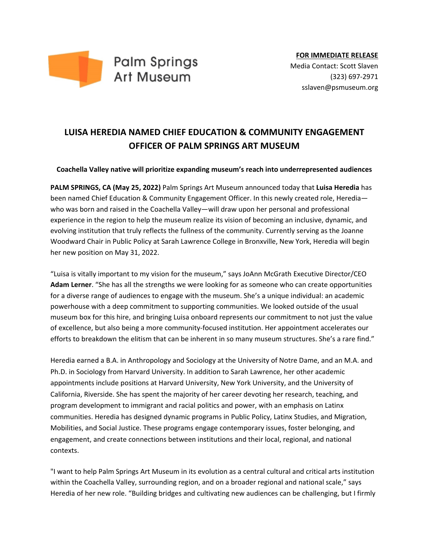

## **LUISA HEREDIA NAMED CHIEF EDUCATION & COMMUNITY ENGAGEMENT OFFICER OF PALM SPRINGS ART MUSEUM**

## **Coachella Valley native will prioritize expanding museum's reach into underrepresented audiences**

**PALM SPRINGS, CA (May 25, 2022)** Palm Springs Art Museum announced today that **Luisa Heredia** has been named Chief Education & Community Engagement Officer. In this newly created role, Heredia who was born and raised in the Coachella Valley—will draw upon her personal and professional experience in the region to help the museum realize its vision of becoming an inclusive, dynamic, and evolving institution that truly reflects the fullness of the community. Currently serving as the Joanne Woodward Chair in Public Policy at Sarah Lawrence College in Bronxville, New York, Heredia will begin her new position on May 31, 2022.

"Luisa is vitally important to my vision for the museum," says JoAnn McGrath Executive Director/CEO **Adam Lerner**. "She has all the strengths we were looking for as someone who can create opportunities for a diverse range of audiences to engage with the museum. She's a unique individual: an academic powerhouse with a deep commitment to supporting communities. We looked outside of the usual museum box for this hire, and bringing Luisa onboard represents our commitment to not just the value of excellence, but also being a more community-focused institution. Her appointment accelerates our efforts to breakdown the elitism that can be inherent in so many museum structures. She's a rare find."

Heredia earned a B.A. in Anthropology and Sociology at the University of Notre Dame, and an M.A. and Ph.D. in Sociology from Harvard University. In addition to Sarah Lawrence, her other academic appointments include positions at Harvard University, New York University, and the University of California, Riverside. She has spent the majority of her career devoting her research, teaching, and program development to immigrant and racial politics and power, with an emphasis on Latinx communities. Heredia has designed dynamic programs in Public Policy, Latinx Studies, and Migration, Mobilities, and Social Justice. These programs engage contemporary issues, foster belonging, and engagement, and create connections between institutions and their local, regional, and national contexts.

"I want to help Palm Springs Art Museum in its evolution as a central cultural and critical arts institution within the Coachella Valley, surrounding region, and on a broader regional and national scale," says Heredia of her new role. "Building bridges and cultivating new audiences can be challenging, but I firmly